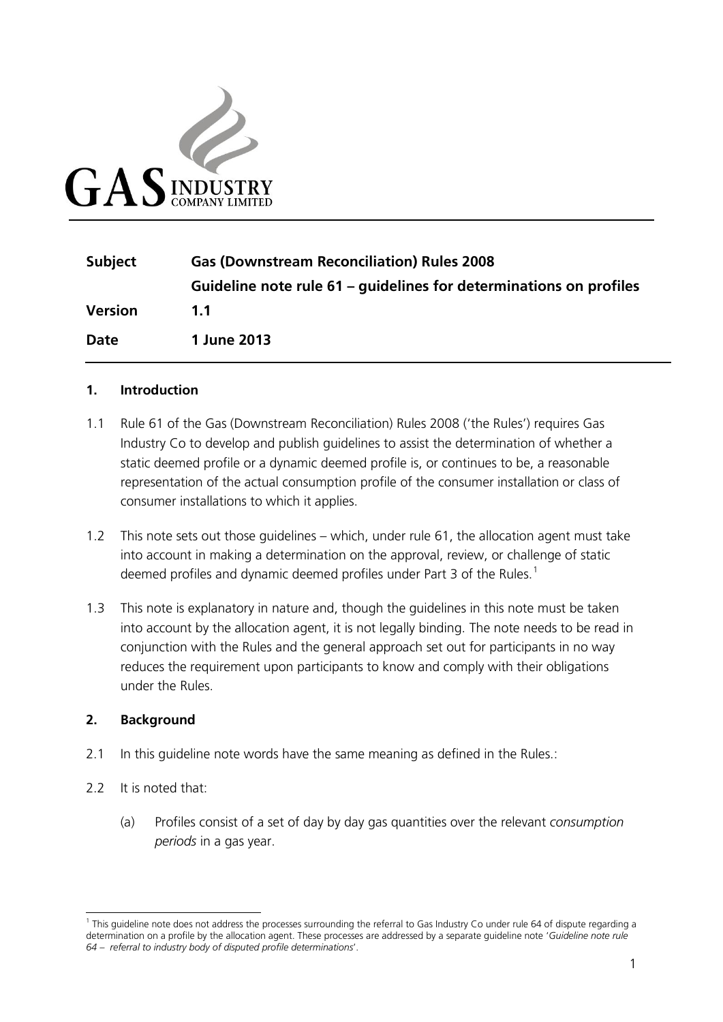

| <b>Subject</b> | <b>Gas (Downstream Reconciliation) Rules 2008</b>                  |  |
|----------------|--------------------------------------------------------------------|--|
|                | Guideline note rule 61 – quidelines for determinations on profiles |  |
| <b>Version</b> | 11                                                                 |  |
| <b>Date</b>    | 1 June 2013                                                        |  |

#### **1. Introduction**

- 1.1 Rule 61 of the Gas (Downstream Reconciliation) Rules 2008 ('the Rules') requires Gas Industry Co to develop and publish guidelines to assist the determination of whether a static deemed profile or a dynamic deemed profile is, or continues to be, a reasonable representation of the actual consumption profile of the consumer installation or class of consumer installations to which it applies.
- 1.2 This note sets out those guidelines which, under rule 61, the allocation agent must take into account in making a determination on the approval, review, or challenge of static deemed profiles and dynamic deemed profiles under Part 3 of the Rules.<sup>[1](#page-0-0)</sup>
- 1.3 This note is explanatory in nature and, though the guidelines in this note must be taken into account by the allocation agent, it is not legally binding. The note needs to be read in conjunction with the Rules and the general approach set out for participants in no way reduces the requirement upon participants to know and comply with their obligations under the Rules.

#### **2. Background**

- 2.1 In this quideline note words have the same meaning as defined in the Rules.:
- 2.2 It is noted that:
	- (a) Profiles consist of a set of day by day gas quantities over the relevant *consumption periods* in a gas year.

<span id="page-0-0"></span><sup>&</sup>lt;sup>1</sup> This guideline note does not address the processes surrounding the referral to Gas Industry Co under rule 64 of dispute regarding a determination on a profile by the allocation agent. These processes are addressed by a separate guideline note '*Guideline note rule 64 – referral to industry body of disputed profile determinations*'.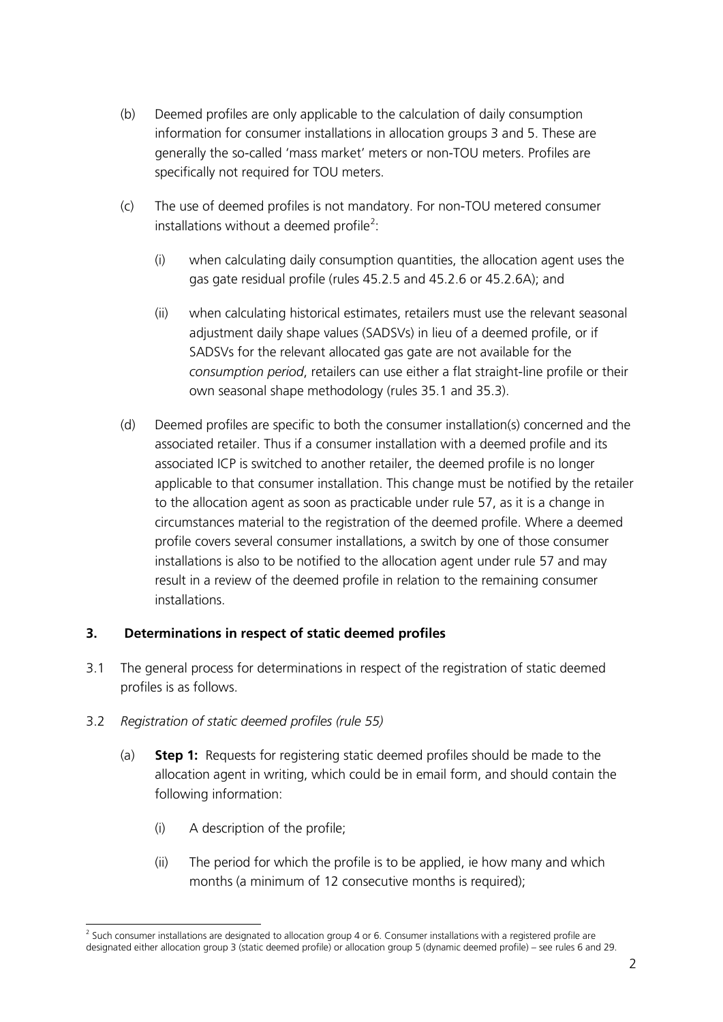- (b) Deemed profiles are only applicable to the calculation of daily consumption information for consumer installations in allocation groups 3 and 5. These are generally the so-called 'mass market' meters or non-TOU meters. Profiles are specifically not required for TOU meters.
- (c) The use of deemed profiles is not mandatory. For non-TOU metered consumer installations without a deemed profile<sup>[2](#page-1-0)</sup>:
	- (i) when calculating daily consumption quantities, the allocation agent uses the gas gate residual profile (rules 45.2.5 and 45.2.6 or 45.2.6A); and
	- (ii) when calculating historical estimates, retailers must use the relevant seasonal adjustment daily shape values (SADSVs) in lieu of a deemed profile, or if SADSVs for the relevant allocated gas gate are not available for the *consumption period*, retailers can use either a flat straight-line profile or their own seasonal shape methodology (rules 35.1 and 35.3).
- (d) Deemed profiles are specific to both the consumer installation(s) concerned and the associated retailer. Thus if a consumer installation with a deemed profile and its associated ICP is switched to another retailer, the deemed profile is no longer applicable to that consumer installation. This change must be notified by the retailer to the allocation agent as soon as practicable under rule 57, as it is a change in circumstances material to the registration of the deemed profile. Where a deemed profile covers several consumer installations, a switch by one of those consumer installations is also to be notified to the allocation agent under rule 57 and may result in a review of the deemed profile in relation to the remaining consumer installations.

#### **3. Determinations in respect of static deemed profiles**

- 3.1 The general process for determinations in respect of the registration of static deemed profiles is as follows.
- 3.2 *Registration of static deemed profiles (rule 55)*
	- (a) **Step 1:** Requests for registering static deemed profiles should be made to the allocation agent in writing, which could be in email form, and should contain the following information:
		- (i) A description of the profile;
		- (ii) The period for which the profile is to be applied, ie how many and which months (a minimum of 12 consecutive months is required);

<span id="page-1-0"></span> $<sup>2</sup>$  Such consumer installations are designated to allocation group 4 or 6. Consumer installations with a registered profile are</sup> designated either allocation group 3 (static deemed profile) or allocation group 5 (dynamic deemed profile) – see rules 6 and 29.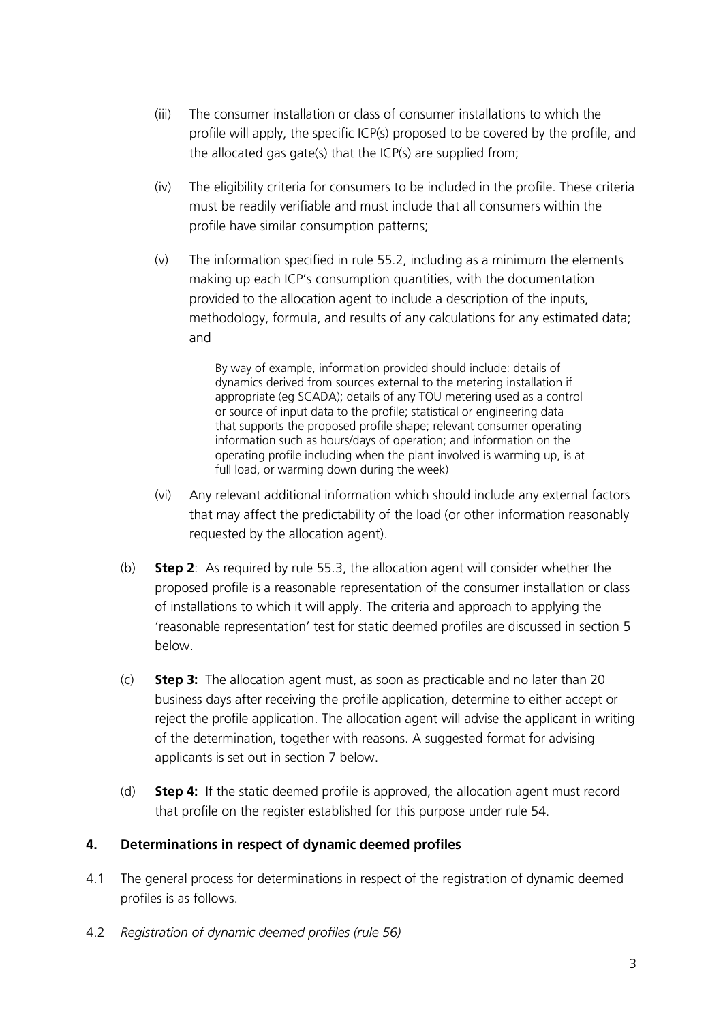- (iii) The consumer installation or class of consumer installations to which the profile will apply, the specific ICP(s) proposed to be covered by the profile, and the allocated gas gate(s) that the ICP(s) are supplied from;
- (iv) The eligibility criteria for consumers to be included in the profile. These criteria must be readily verifiable and must include that all consumers within the profile have similar consumption patterns;
- (v) The information specified in rule 55.2, including as a minimum the elements making up each ICP's consumption quantities, with the documentation provided to the allocation agent to include a description of the inputs, methodology, formula, and results of any calculations for any estimated data; and

By way of example, information provided should include: details of dynamics derived from sources external to the metering installation if appropriate (eg SCADA); details of any TOU metering used as a control or source of input data to the profile; statistical or engineering data that supports the proposed profile shape; relevant consumer operating information such as hours/days of operation; and information on the operating profile including when the plant involved is warming up, is at full load, or warming down during the week)

- (vi) Any relevant additional information which should include any external factors that may affect the predictability of the load (or other information reasonably requested by the allocation agent).
- (b) **Step 2**: As required by rule 55.3, the allocation agent will consider whether the proposed profile is a reasonable representation of the consumer installation or class of installations to which it will apply. The criteria and approach to applying the 'reasonable representation' test for static deemed profiles are discussed in section 5 below.
- (c) **Step 3:** The allocation agent must, as soon as practicable and no later than 20 business days after receiving the profile application, determine to either accept or reject the profile application. The allocation agent will advise the applicant in writing of the determination, together with reasons. A suggested format for advising applicants is set out in section 7 below.
- (d) **Step 4:** If the static deemed profile is approved, the allocation agent must record that profile on the register established for this purpose under rule 54.

## **4. Determinations in respect of dynamic deemed profiles**

- 4.1 The general process for determinations in respect of the registration of dynamic deemed profiles is as follows.
- 4.2 *Registration of dynamic deemed profiles (rule 56)*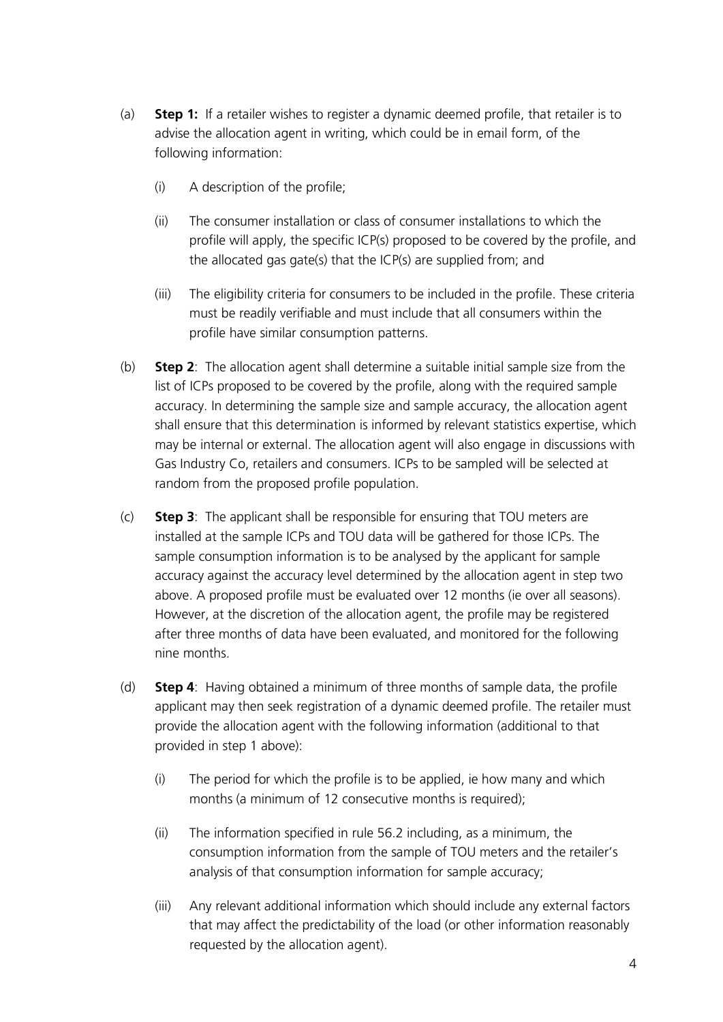- (a) **Step 1:** If a retailer wishes to register a dynamic deemed profile, that retailer is to advise the allocation agent in writing, which could be in email form, of the following information:
	- (i) A description of the profile;
	- (ii) The consumer installation or class of consumer installations to which the profile will apply, the specific ICP(s) proposed to be covered by the profile, and the allocated gas gate(s) that the ICP(s) are supplied from; and
	- (iii) The eligibility criteria for consumers to be included in the profile. These criteria must be readily verifiable and must include that all consumers within the profile have similar consumption patterns.
- (b) **Step 2**: The allocation agent shall determine a suitable initial sample size from the list of ICPs proposed to be covered by the profile, along with the required sample accuracy. In determining the sample size and sample accuracy, the allocation agent shall ensure that this determination is informed by relevant statistics expertise, which may be internal or external. The allocation agent will also engage in discussions with Gas Industry Co, retailers and consumers. ICPs to be sampled will be selected at random from the proposed profile population.
- (c) **Step 3**: The applicant shall be responsible for ensuring that TOU meters are installed at the sample ICPs and TOU data will be gathered for those ICPs. The sample consumption information is to be analysed by the applicant for sample accuracy against the accuracy level determined by the allocation agent in step two above. A proposed profile must be evaluated over 12 months (ie over all seasons). However, at the discretion of the allocation agent, the profile may be registered after three months of data have been evaluated, and monitored for the following nine months.
- (d) **Step 4**: Having obtained a minimum of three months of sample data, the profile applicant may then seek registration of a dynamic deemed profile. The retailer must provide the allocation agent with the following information (additional to that provided in step 1 above):
	- (i) The period for which the profile is to be applied, ie how many and which months (a minimum of 12 consecutive months is required);
	- (ii) The information specified in rule 56.2 including, as a minimum, the consumption information from the sample of TOU meters and the retailer's analysis of that consumption information for sample accuracy;
	- (iii) Any relevant additional information which should include any external factors that may affect the predictability of the load (or other information reasonably requested by the allocation agent).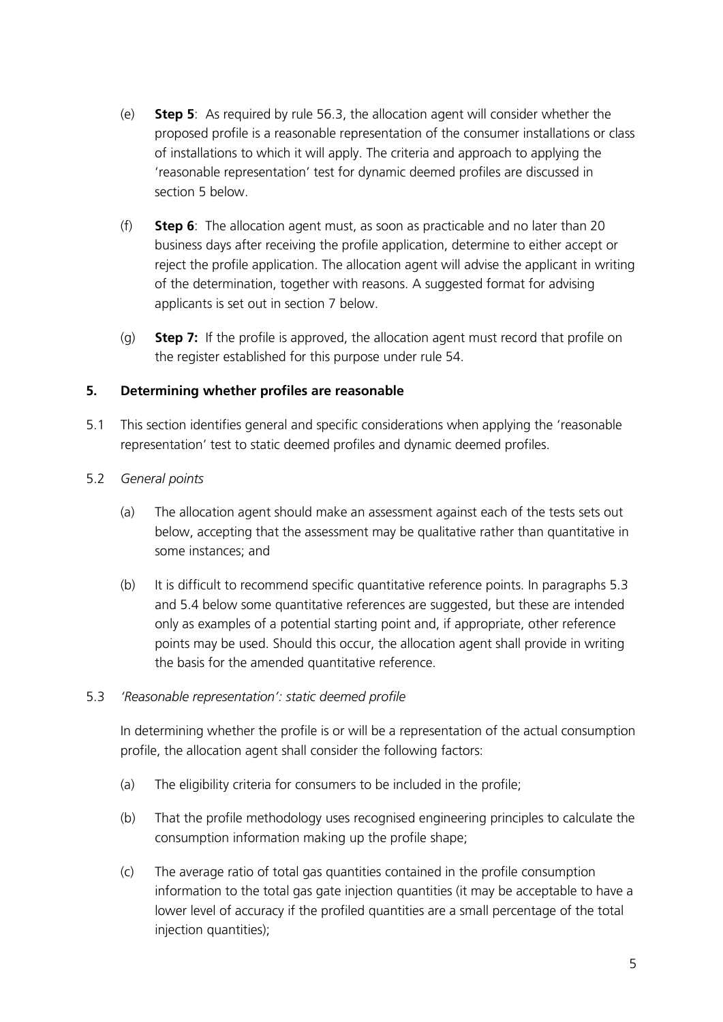- (e) **Step 5**: As required by rule 56.3, the allocation agent will consider whether the proposed profile is a reasonable representation of the consumer installations or class of installations to which it will apply. The criteria and approach to applying the 'reasonable representation' test for dynamic deemed profiles are discussed in section 5 below.
- (f) **Step 6**: The allocation agent must, as soon as practicable and no later than 20 business days after receiving the profile application, determine to either accept or reject the profile application. The allocation agent will advise the applicant in writing of the determination, together with reasons. A suggested format for advising applicants is set out in section 7 below.
- (g) **Step 7:** If the profile is approved, the allocation agent must record that profile on the register established for this purpose under rule 54.

### **5. Determining whether profiles are reasonable**

5.1 This section identifies general and specific considerations when applying the 'reasonable representation' test to static deemed profiles and dynamic deemed profiles.

#### 5.2 *General points*

- (a) The allocation agent should make an assessment against each of the tests sets out below, accepting that the assessment may be qualitative rather than quantitative in some instances; and
- (b) It is difficult to recommend specific quantitative reference points. In paragraphs 5.3 and 5.4 below some quantitative references are suggested, but these are intended only as examples of a potential starting point and, if appropriate, other reference points may be used. Should this occur, the allocation agent shall provide in writing the basis for the amended quantitative reference.

#### 5.3 *'Reasonable representation': static deemed profile*

In determining whether the profile is or will be a representation of the actual consumption profile, the allocation agent shall consider the following factors:

- (a) The eligibility criteria for consumers to be included in the profile;
- (b) That the profile methodology uses recognised engineering principles to calculate the consumption information making up the profile shape;
- (c) The average ratio of total gas quantities contained in the profile consumption information to the total gas gate injection quantities (it may be acceptable to have a lower level of accuracy if the profiled quantities are a small percentage of the total injection quantities);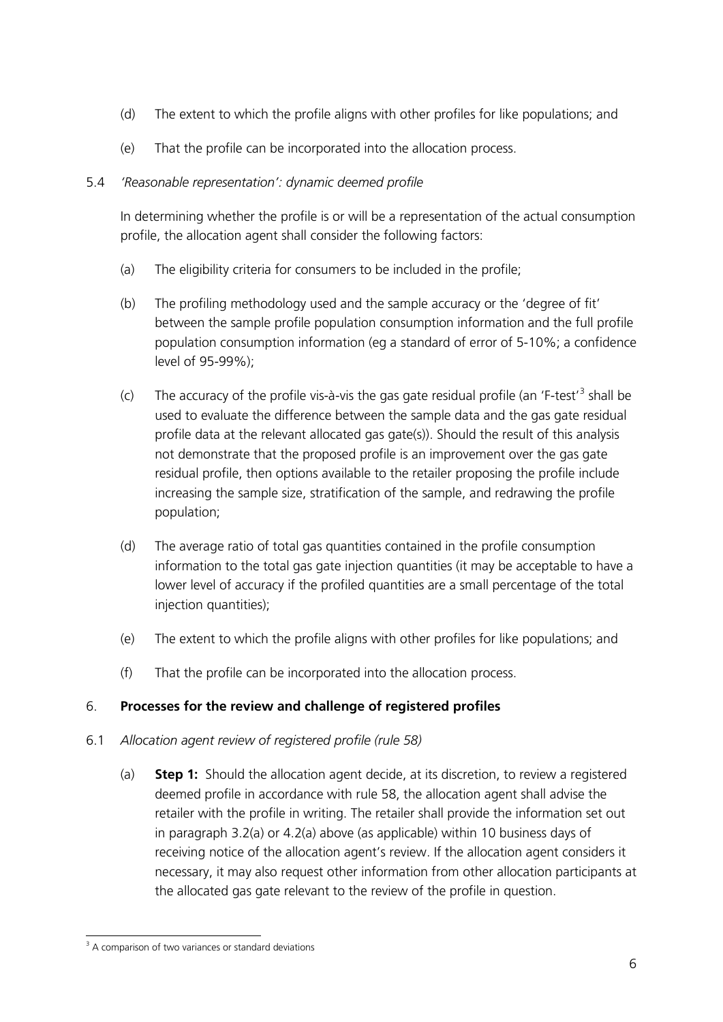- (d) The extent to which the profile aligns with other profiles for like populations; and
- (e) That the profile can be incorporated into the allocation process.

## 5.4 *'Reasonable representation': dynamic deemed profile*

In determining whether the profile is or will be a representation of the actual consumption profile, the allocation agent shall consider the following factors:

- (a) The eligibility criteria for consumers to be included in the profile;
- (b) The profiling methodology used and the sample accuracy or the 'degree of fit' between the sample profile population consumption information and the full profile population consumption information (eg a standard of error of 5-10%; a confidence level of 95-99%);
- (c) The accuracy of the profile vis-à-vis the gas gate residual profile (an 'F-test'<sup>[3](#page-5-0)</sup> shall be used to evaluate the difference between the sample data and the gas gate residual profile data at the relevant allocated gas gate(s)). Should the result of this analysis not demonstrate that the proposed profile is an improvement over the gas gate residual profile, then options available to the retailer proposing the profile include increasing the sample size, stratification of the sample, and redrawing the profile population;
- (d) The average ratio of total gas quantities contained in the profile consumption information to the total gas gate injection quantities (it may be acceptable to have a lower level of accuracy if the profiled quantities are a small percentage of the total injection quantities);
- (e) The extent to which the profile aligns with other profiles for like populations; and
- (f) That the profile can be incorporated into the allocation process.

# 6. **Processes for the review and challenge of registered profiles**

- 6.1 *Allocation agent review of registered profile (rule 58)*
	- (a) **Step 1:** Should the allocation agent decide, at its discretion, to review a registered deemed profile in accordance with rule 58, the allocation agent shall advise the retailer with the profile in writing. The retailer shall provide the information set out in paragraph 3.2(a) or 4.2(a) above (as applicable) within 10 business days of receiving notice of the allocation agent's review. If the allocation agent considers it necessary, it may also request other information from other allocation participants at the allocated gas gate relevant to the review of the profile in question.

<span id="page-5-0"></span><sup>&</sup>lt;sup>3</sup> A comparison of two variances or standard deviations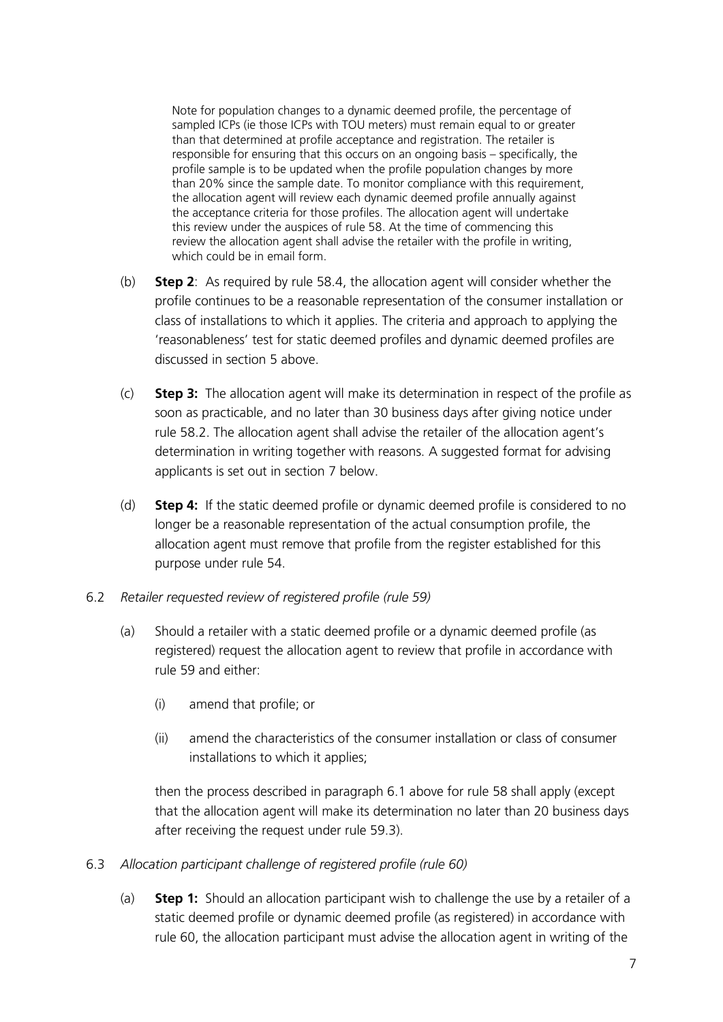Note for population changes to a dynamic deemed profile, the percentage of sampled ICPs (ie those ICPs with TOU meters) must remain equal to or greater than that determined at profile acceptance and registration. The retailer is responsible for ensuring that this occurs on an ongoing basis – specifically, the profile sample is to be updated when the profile population changes by more than 20% since the sample date. To monitor compliance with this requirement, the allocation agent will review each dynamic deemed profile annually against the acceptance criteria for those profiles. The allocation agent will undertake this review under the auspices of rule 58. At the time of commencing this review the allocation agent shall advise the retailer with the profile in writing, which could be in email form.

- (b) **Step 2**: As required by rule 58.4, the allocation agent will consider whether the profile continues to be a reasonable representation of the consumer installation or class of installations to which it applies. The criteria and approach to applying the 'reasonableness' test for static deemed profiles and dynamic deemed profiles are discussed in section 5 above.
- (c) **Step 3:** The allocation agent will make its determination in respect of the profile as soon as practicable, and no later than 30 business days after giving notice under rule 58.2. The allocation agent shall advise the retailer of the allocation agent's determination in writing together with reasons. A suggested format for advising applicants is set out in section 7 below.
- (d) **Step 4:** If the static deemed profile or dynamic deemed profile is considered to no longer be a reasonable representation of the actual consumption profile, the allocation agent must remove that profile from the register established for this purpose under rule 54.
- 6.2 *Retailer requested review of registered profile (rule 59)*
	- (a) Should a retailer with a static deemed profile or a dynamic deemed profile (as registered) request the allocation agent to review that profile in accordance with rule 59 and either:
		- (i) amend that profile; or
		- (ii) amend the characteristics of the consumer installation or class of consumer installations to which it applies;

then the process described in paragraph 6.1 above for rule 58 shall apply (except that the allocation agent will make its determination no later than 20 business days after receiving the request under rule 59.3).

- 6.3 *Allocation participant challenge of registered profile (rule 60)*
	- (a) **Step 1:** Should an allocation participant wish to challenge the use by a retailer of a static deemed profile or dynamic deemed profile (as registered) in accordance with rule 60, the allocation participant must advise the allocation agent in writing of the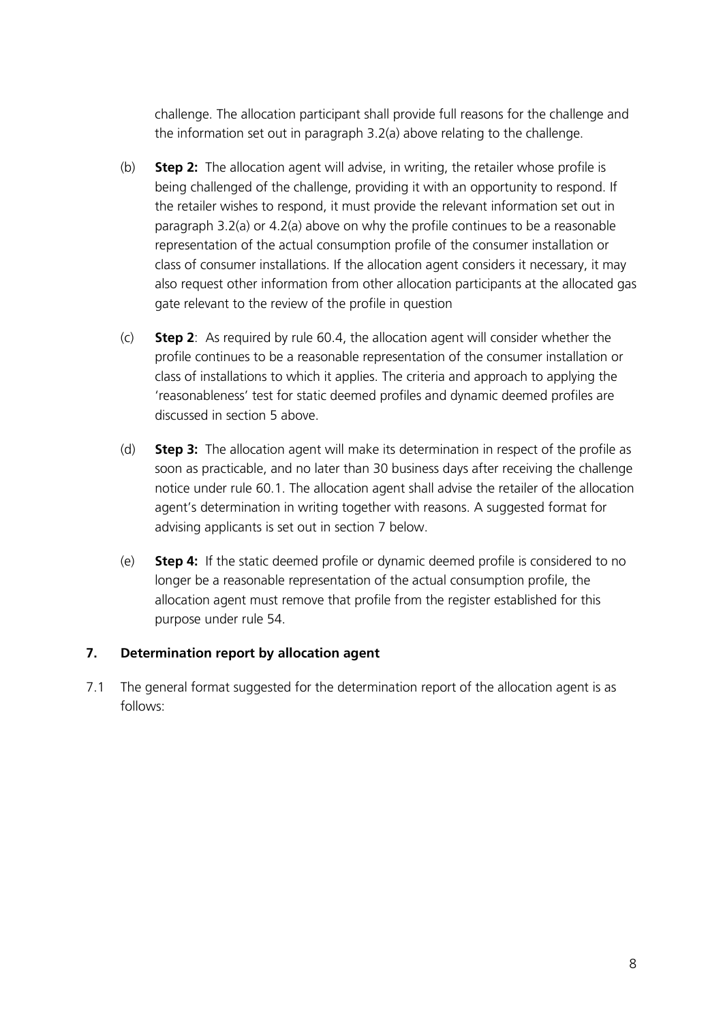challenge. The allocation participant shall provide full reasons for the challenge and the information set out in paragraph 3.2(a) above relating to the challenge.

- (b) **Step 2:** The allocation agent will advise, in writing, the retailer whose profile is being challenged of the challenge, providing it with an opportunity to respond. If the retailer wishes to respond, it must provide the relevant information set out in paragraph 3.2(a) or 4.2(a) above on why the profile continues to be a reasonable representation of the actual consumption profile of the consumer installation or class of consumer installations. If the allocation agent considers it necessary, it may also request other information from other allocation participants at the allocated gas gate relevant to the review of the profile in question
- (c) **Step 2**: As required by rule 60.4, the allocation agent will consider whether the profile continues to be a reasonable representation of the consumer installation or class of installations to which it applies. The criteria and approach to applying the 'reasonableness' test for static deemed profiles and dynamic deemed profiles are discussed in section 5 above.
- (d) **Step 3:** The allocation agent will make its determination in respect of the profile as soon as practicable, and no later than 30 business days after receiving the challenge notice under rule 60.1. The allocation agent shall advise the retailer of the allocation agent's determination in writing together with reasons. A suggested format for advising applicants is set out in section 7 below.
- (e) **Step 4:** If the static deemed profile or dynamic deemed profile is considered to no longer be a reasonable representation of the actual consumption profile, the allocation agent must remove that profile from the register established for this purpose under rule 54.

#### **7. Determination report by allocation agent**

7.1 The general format suggested for the determination report of the allocation agent is as follows: